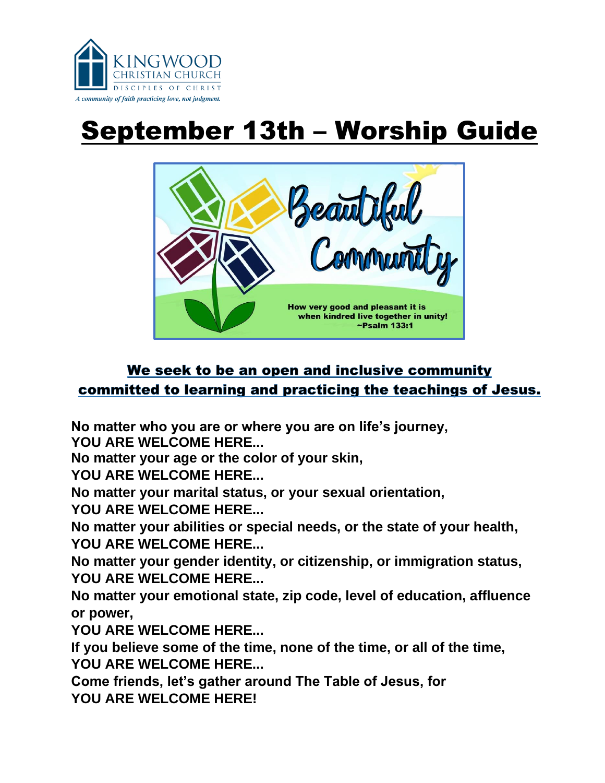

# September 13th – Worship Guide



# We seek to be an open and inclusive community committed to learning and practicing the teachings of Jesus.

**No matter who you are or where you are on life's journey,** 

**YOU ARE WELCOME HERE...**

**No matter your age or the color of your skin,**

**YOU ARE WELCOME HERE...**

**No matter your marital status, or your sexual orientation,**

**YOU ARE WELCOME HERE...**

**No matter your abilities or special needs, or the state of your health, YOU ARE WELCOME HERE...**

**No matter your gender identity, or citizenship, or immigration status, YOU ARE WELCOME HERE...**

**No matter your emotional state, zip code, level of education, affluence or power,** 

**YOU ARE WELCOME HERE...**

**If you believe some of the time, none of the time, or all of the time, YOU ARE WELCOME HERE...**

**Come friends, let's gather around The Table of Jesus, for YOU ARE WELCOME HERE!**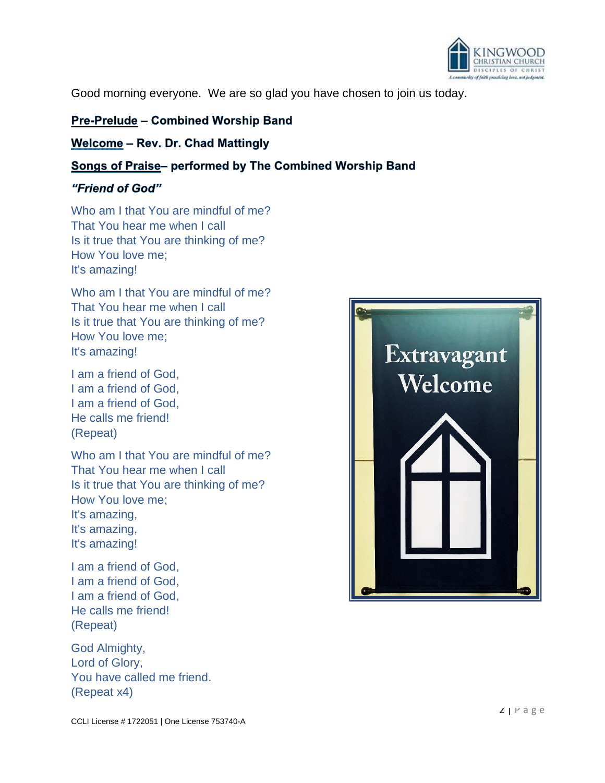

Good morning everyone. We are so glad you have chosen to join us today.

# Pre-Prelude - Combined Worship Band

# **Welcome - Rev. Dr. Chad Mattingly**

# Songs of Praise- performed by The Combined Worship Band

#### "Friend of God"

Who am I that You are mindful of me? That You hear me when I call Is it true that You are thinking of me? How You love me; It's amazing!

Who am I that You are mindful of me? That You hear me when I call Is it true that You are thinking of me? How You love me; It's amazing!

I am a friend of God, I am a friend of God, I am a friend of God, He calls me friend! (Repeat)

Who am I that You are mindful of me? That You hear me when I call Is it true that You are thinking of me? How You love me; It's amazing, It's amazing, It's amazing!

I am a friend of God, I am a friend of God, I am a friend of God, He calls me friend! (Repeat)

God Almighty, Lord of Glory, You have called me friend. (Repeat x4)

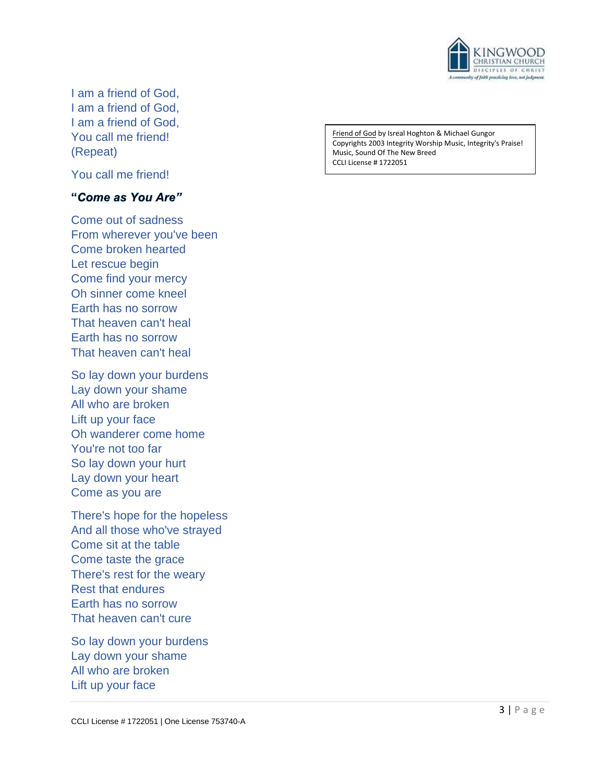

I am a friend of God, I am a friend of God, I am a friend of God, You call me friend! (Repeat)

You call me friend!

#### "Come as You Are"

Come out of sadness From wherever you've been Come broken hearted Let rescue begin Come find your mercy Oh sinner come kneel Earth has no sorrow That heaven can't heal Earth has no sorrow That heaven can't heal

So lay down your burdens Lay down your shame All who are broken Lift up your face Oh wanderer come home You're not too far So lay down your hurt Lay down your heart Come as you are

There's hope for the hopeless And all those who've strayed Come sit at the table Come taste the grace There's rest for the weary Rest that endures Earth has no sorrow That heaven can't cure

So lay down your burdens Lay down your shame All who are broken Lift up your face

Friend of God by Isreal Hoghton & Michael Gungor Copyrights 2003 Integrity Worship Music, Integrity's Praise! Music, Sound Of The New Breed CCLI License # 1722051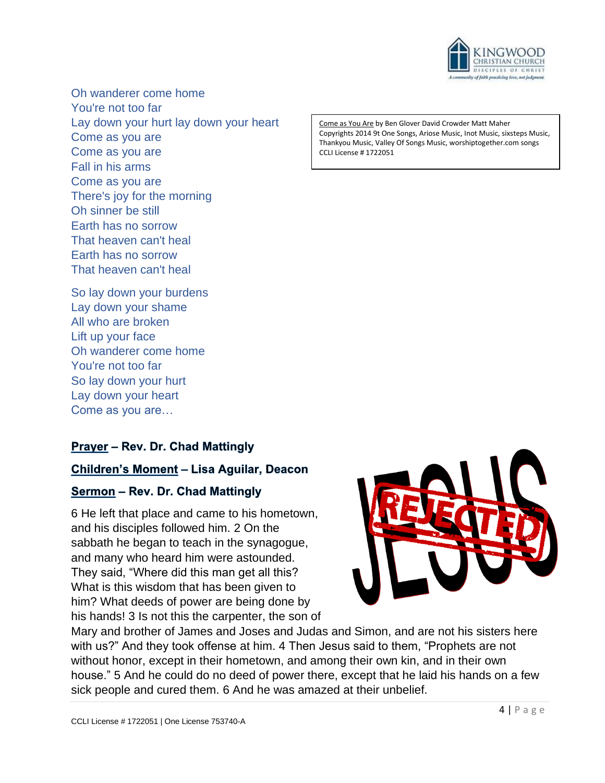

Oh wanderer come home You're not too far Lay down your hurt lay down your heart Come as you are Come as you are Fall in his arms Come as you are There's joy for the morning Oh sinner be still Earth has no sorrow That heaven can't heal Earth has no sorrow That heaven can't heal

So lay down your burdens Lay down your shame All who are broken Lift up your face Oh wanderer come home You're not too far So lay down your hurt Lay down your heart Come as you are…

### Prayer - Rev. Dr. Chad Mattingly

#### Children's Moment - Lisa Aguilar, Deacon

#### **Sermon - Rev. Dr. Chad Mattingly**

6 He left that place and came to his hometown, and his disciples followed him. 2 On the sabbath he began to teach in the synagogue, and many who heard him were astounded. They said, "Where did this man get all this? What is this wisdom that has been given to him? What deeds of power are being done by his hands! 3 Is not this the carpenter, the son of



Mary and brother of James and Joses and Judas and Simon, and are not his sisters here with us?" And they took offense at him. 4 Then Jesus said to them, "Prophets are not without honor, except in their hometown, and among their own kin, and in their own house." 5 And he could do no deed of power there, except that he laid his hands on a few sick people and cured them. 6 And he was amazed at their unbelief.

Come as You Are by Ben Glover David Crowder Matt Maher Copyrights 2014 9t One Songs, Ariose Music, Inot Music, sixsteps Music, Thankyou Music, Valley Of Songs Music, worshiptogether.com songs CCLI License # 1722051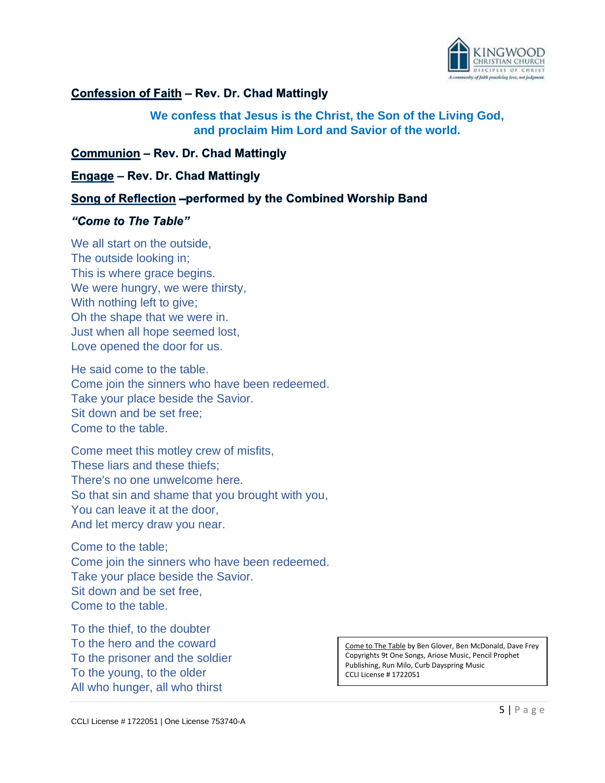

# Confession of Faith - Rev. Dr. Chad Mattingly

**We confess that Jesus is the Christ, the Son of the Living God, and proclaim Him Lord and Savior of the world.**

**Communion - Rev. Dr. Chad Mattingly** 

**Engage - Rev. Dr. Chad Mattingly** 

Song of Reflection -performed by the Combined Worship Band

#### "Come to The Table"

We all start on the outside, The outside looking in; This is where grace begins. We were hungry, we were thirsty, With nothing left to give; Oh the shape that we were in. Just when all hope seemed lost, Love opened the door for us.

He said come to the table. Come join the sinners who have been redeemed. Take your place beside the Savior. Sit down and be set free; Come to the table.

Come meet this motley crew of misfits, These liars and these thiefs; There's no one unwelcome here. So that sin and shame that you brought with you, You can leave it at the door, And let mercy draw you near.

Come to the table; Come join the sinners who have been redeemed. Take your place beside the Savior. Sit down and be set free, Come to the table.

To the thief, to the doubter To the hero and the coward To the prisoner and the soldier To the young, to the older All who hunger, all who thirst

Come to The Table by Ben Glover, Ben McDonald, Dave Frey Copyrights 9t One Songs, Ariose Music, Pencil Prophet Publishing, Run Milo, Curb Dayspring Music CCLI License # 1722051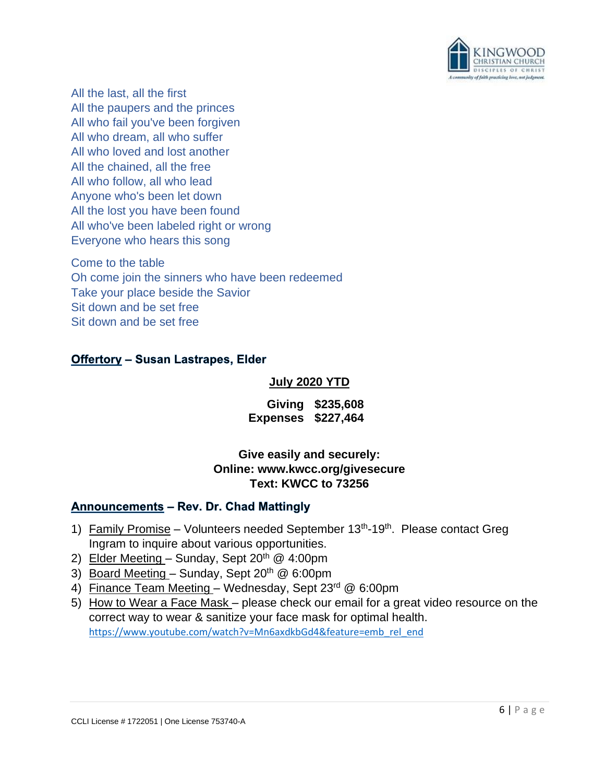

All the last, all the first All the paupers and the princes All who fail you've been forgiven All who dream, all who suffer All who loved and lost another All the chained, all the free All who follow, all who lead Anyone who's been let down All the lost you have been found All who've been labeled right or wrong Everyone who hears this song

Come to the table Oh come join the sinners who have been redeemed Take your place beside the Savior Sit down and be set free Sit down and be set free

#### **Offertory - Susan Lastrapes, Elder**

#### **July 2020 YTD**

**Giving \$235,608 Expenses \$227,464**

### **Give easily and securely: Online: www.kwcc.org/givesecure Text: KWCC to 73256**

#### Announcements - Rev. Dr. Chad Mattingly

- 1) Family Promise Volunteers needed September 13th-19th. Please contact Greg Ingram to inquire about various opportunities.
- 2) Elder Meeting Sunday, Sept  $20<sup>th</sup>$  @ 4:00pm
- 3) Board Meeting Sunday, Sept  $20<sup>th</sup>$  @ 6:00pm
- 4) Finance Team Meeting Wednesday, Sept  $23<sup>rd</sup>$  @ 6:00pm
- 5) How to Wear a Face Mask please check our email for a great video resource on the correct way to wear & sanitize your face mask for optimal health. [https://www.youtube.com/watch?v=Mn6axdkbGd4&feature=emb\\_rel\\_end](https://www.youtube.com/watch?v=Mn6axdkbGd4&feature=emb_rel_end)